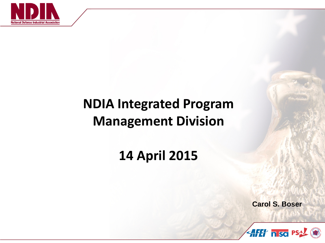

# **NDIA Integrated Program Management Division**

## **14 April 2015**

**Carol S. Boser**

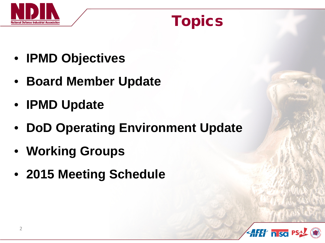

# Topics

- **IPMD Objectives**
- **Board Member Update**
- **IPMD Update**
- **DoD Operating Environment Update**
- **Working Groups**
- **2015 Meeting Schedule**

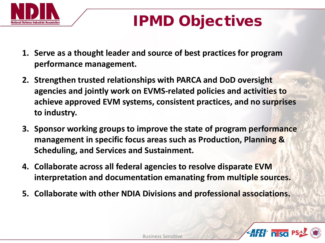

# IPMD Objectives

- **1. Serve as a thought leader and source of best practices for program performance management.**
- **2. Strengthen trusted relationships with PARCA and DoD oversight agencies and jointly work on EVMS-related policies and activities to achieve approved EVM systems, consistent practices, and no surprises to industry.**
- **3. Sponsor working groups to improve the state of program performance management in specific focus areas such as Production, Planning & Scheduling, and Services and Sustainment.**
- **4. Collaborate across all federal agencies to resolve disparate EVM interpretation and documentation emanating from multiple sources.**
- **5. Collaborate with other NDIA Divisions and professional associations.**

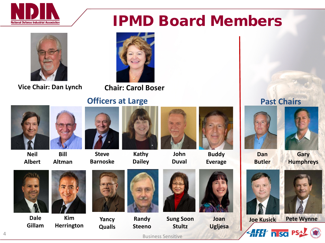

# IPMD Board Members



### **Vice Chair: Dan Lynch Chair: Carol Boser**



### **Officers at Large**  Past Chairs



**Neil Albert**



**Bill Altman**



**Kathy Dailey**





**Buddy Everage**





**Dan Butler**





**Dale Gillam**



**Kim Herrington**



**Qualls**

**Barnoske**

**Randy Steeno**



**Duval**





**Joan Ugljesa**



**AFET nso PS** 





Business Sensitive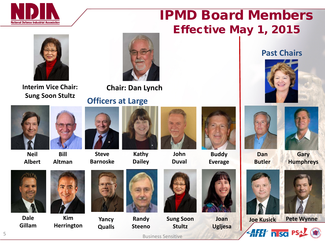

## IPMD Board Members Effective May 1, 2015



**Sung Soon Stultz**



**Interim Vice Chair: Chair: Dan Lynch**

### **Officers at Large**





**Neil Albert**



**Bill Altman**



**Steve Barnoske**

**Qualls**



**Kathy Dailey**



**John Duval**



**Buddy Everage**





**Dan Butler**

**Gary Humphreys**



**Dale Gillam**



**Kim Herrington**



**Randy Steeno**







**Joan Ugljesa**







**AHI nso PS** 

Business Sensitive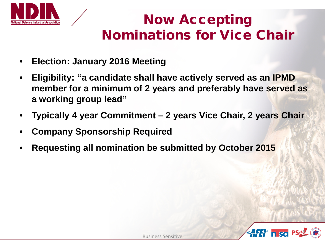

## Now Accepting Nominations for Vice Chair

- **Election: January 2016 Meeting**
- **Eligibility: "a candidate shall have actively served as an IPMD member for a minimum of 2 years and preferably have served as a working group lead"**
- **Typically 4 year Commitment – 2 years Vice Chair, 2 years Chair**
- **Company Sponsorship Required**
- **Requesting all nomination be submitted by October 2015**

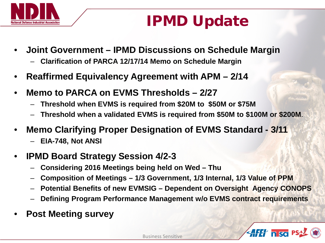

# IPMD Update

- **Joint Government – IPMD Discussions on Schedule Margin** – **Clarification of PARCA 12/17/14 Memo on Schedule Margin**
- **Reaffirmed Equivalency Agreement with APM – 2/14**
- **Memo to PARCA on EVMS Thresholds – 2/27**
	- **Threshold when EVMS is required from \$20M to \$50M or \$75M**
	- **Threshold when a validated EVMS is required from \$50M to \$100M or \$200M**.
- **Memo Clarifying Proper Designation of EVMS Standard - 3/11**
	- **EIA-748, Not ANSI**
- **IPMD Board Strategy Session 4/2-3**
	- **Considering 2016 Meetings being held on Wed – Thu**
	- **Composition of Meetings – 1/3 Government, 1/3 Internal, 1/3 Value of PPM**
	- **Potential Benefits of new EVMSIG – Dependent on Oversight Agency CONOPS**
	- **Defining Program Performance Management w/o EVMS contract requirements**
- **Post Meeting survey**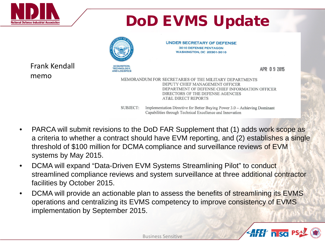

# DoD EVMS Update



**UNDER SECRETARY OF DEFENSE 3010 DEFENSE PENTAGON WASHINGTON, DC 20301-3010** 

Frank Kendall memo

APR 09 2015

MEMORANDUM FOR SECRETARIES OF THE MILITARY DEPARTMENTS DEPUTY CHIEF MANAGEMENT OFFICER DEPARTMENT OF DEFENSE CHIEF INFORMATION OFFICER DIRECTORS OF THE DEFENSE AGENCIES **AT&L DIRECT REPORTS** 

SUBJECT: Implementation Directive for Better Buying Power 3.0 - Achieving Dominant Capabilities through Technical Excellence and Innovation

- PARCA will submit revisions to the DoD FAR Supplement that (1) adds work scope as a criteria to whether a contract should have EVM reporting, and (2) establishes a single threshold of \$100 million for DCMA compliance and surveillance reviews of EVM systems by May 2015.
- DCMA will expand "Data-Driven EVM Systems Streamlining Pilot" to conduct streamlined compliance reviews and system surveillance at three additional contractor facilities by October 2015.
- DCMA will provide an actionable plan to assess the benefits of streamlining its EVMS operations and centralizing its EVMS competency to improve consistency of EVMS implementation by September 2015.

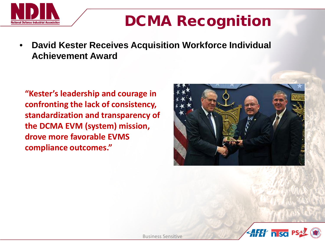

# DCMA Recognition

• **David Kester Receives Acquisition Workforce Individual Achievement Award**

**"Kester's leadership and courage in confronting the lack of consistency, standardization and transparency of the DCMA EVM (system) mission, drove more favorable EVMS compliance outcomes."**



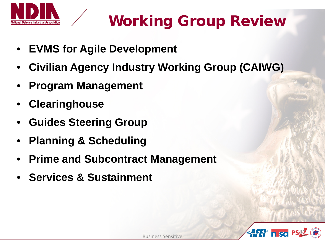

# Working Group Review

- **EVMS for Agile Development**
- **Civilian Agency Industry Working Group (CAIWG)**
- **Program Management**
- **Clearinghouse**
- **Guides Steering Group**
- **Planning & Scheduling**
- **Prime and Subcontract Management**
- **Services & Sustainment**

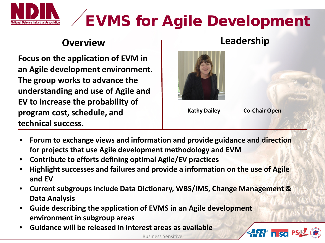

# EVMS for Agile Development

## **Overview Leadership**

**Focus on the application of EVM in an Agile development environment. The group works to advance the understanding and use of Agile and EV to increase the probability of program cost, schedule, and technical success.**

### **Kathy Dailey**

**Co-Chair Open**

- **Forum to exchange views and information and provide guidance and direction for projects that use Agile development methodology and EVM**
- **Contribute to efforts defining optimal Agile/EV practices**
- **Highlight successes and failures and provide a information on the use of Agile and EV**
- **Current subgroups include Data Dictionary, WBS/IMS, Change Management & Data Analysis**
- **Guide describing the application of EVMS in an Agile development environment in subgroup areas**
- **Guidance will be released in interest areas as available**



Business Sensitive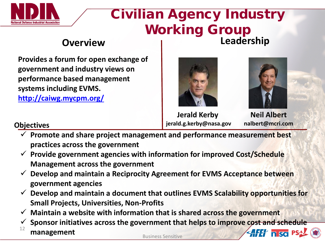

## Civilian Agency Industry Working Group **Overview Leadership**

**Provides a forum for open exchange of government and industry views on performance based management systems including EVMS.** 

**<http://caiwg.mycpm.org/>**





**Jerald Kerby jerald.g.kerby@nasa.gov**

**Neil Albert nalbert@mcri.com**

### **Objectives**

- **Promote and share project management and performance measurement best practices across the government**
- **Provide government agencies with information for improved Cost/Schedule Management across the government**
- **Develop and maintain a Reciprocity Agreement for EVMS Acceptance between government agencies**
- **Develop and maintain a document that outlines EVMS Scalability opportunities for Small Projects, Universities, Non-Profits**
- **Maintain a website with information that is shared across the government**
- **Sponsor initiatives across the government that helps to improve cost and schedule**  12 **AFET niscl<sup>PS</sup> management**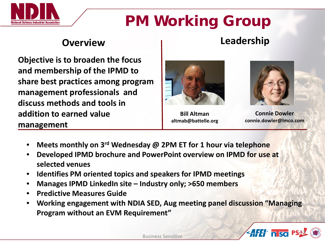

# PM Working Group

## **Overview Leadership**

**Objective is to broaden the focus and membership of the IPMD to share best practices among program management professionals and discuss methods and tools in addition to earned value management**



**Bill Altman altmab@battelle.org**



**Connie Dowler connie.dowler@lmco.com**

- **Meets monthly on 3rd Wednesday @ 2PM ET for 1 hour via telephone**
- **Developed IPMD brochure and PowerPoint overview on IPMD for use at selected venues**
- **Identifies PM oriented topics and speakers for IPMD meetings**
- **Manages IPMD LinkedIn site – Industry only; >650 members**
- **Predictive Measures Guide**
- **Working engagement with NDIA SED, Aug meeting panel discussion "Managing Program without an EVM Requirement"**

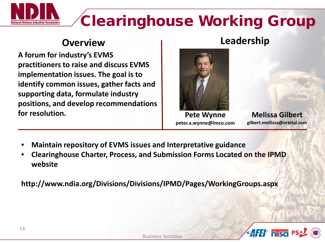# Clearinghouse Working Group

**A forum for industry's EVMS practitioners to raise and discuss EVMS implementation issues. The goal is to identify common issues, gather facts and supporting data, formulate industry positions, and develop recommendations for resolution.**

## **Overview Leadership**



**Pete Wynne peter.a.wynne@lmco.com**

**Melissa Gilbert gilbert.mellissa@orbital.com**

- **Maintain repository of EVMS issues and Interpretative guidance**
- **Clearinghouse Charter, Process, and Submission Forms Located on the IPMD website**

**http://www.ndia.org/Divisions/Divisions/IPMD/Pages/WorkingGroups.aspx**

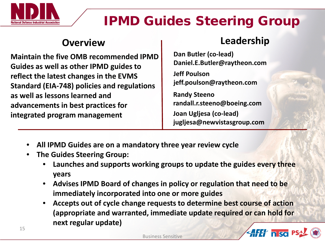

## IPMD Guides Steering Group

**Maintain the five OMB recommended IPMD Guides as well as other IPMD guides to reflect the latest changes in the EVMS Standard (EIA-748) policies and regulations as well as lessons learned and advancements in best practices for integrated program management** 

## **Overview Leadership**

**Dan Butler (co-lead) Daniel.E.Butler@raytheon.com**

**Jeff Poulson jeff.poulson@raytheon.com**

**Randy Steeno randall.r.steeno@boeing.com**

**Joan Ugljesa (co-lead) jugljesa@newvistasgroup.com**

- **All IPMD Guides are on a mandatory three year review cycle**
- **The Guides Steering Group:**
	- **Launches and supports working groups to update the guides every three years**
	- **Advises IPMD Board of changes in policy or regulation that need to be immediately incorporated into one or more guides**
	- **Accepts out of cycle change requests to determine best course of action (appropriate and warranted, immediate update required or can hold for next regular update)**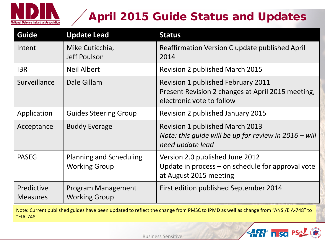

## April 2015 Guide Status and Updates

| <b>Guide</b>                  | <b>Update Lead</b>                                     | <b>Status</b>                                                                                                               |
|-------------------------------|--------------------------------------------------------|-----------------------------------------------------------------------------------------------------------------------------|
| Intent                        | Mike Cuticchia,<br>Jeff Poulson                        | Reaffirmation Version C update published April<br>2014                                                                      |
| <b>IBR</b>                    | <b>Neil Albert</b>                                     | <b>Revision 2 published March 2015</b>                                                                                      |
| Surveillance                  | Dale Gillam                                            | <b>Revision 1 published February 2011</b><br>Present Revision 2 changes at April 2015 meeting,<br>electronic vote to follow |
| Application                   | <b>Guides Steering Group</b>                           | <b>Revision 2 published January 2015</b>                                                                                    |
| Acceptance                    | <b>Buddy Everage</b>                                   | Revision 1 published March 2013<br>Note: this guide will be up for review in 2016 - will<br>need update lead                |
| <b>PASEG</b>                  | <b>Planning and Scheduling</b><br><b>Working Group</b> | Version 2.0 published June 2012<br>Update in process $-$ on schedule for approval vote<br>at August 2015 meeting            |
| Predictive<br><b>Measures</b> | <b>Program Management</b><br><b>Working Group</b>      | First edition published September 2014                                                                                      |

Note: Current published guides have been updated to reflect the change from PMSC to IPMD as well as change from "ANSI/EIA-748" to "EIA-748"



Business Sensitive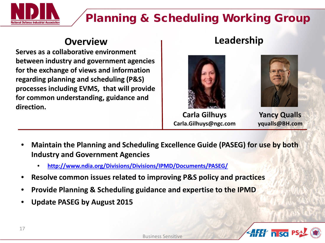

## Planning & Scheduling Working Group

**Serves as a collaborative environment between industry and government agencies for the exchange of views and information regarding planning and scheduling (P&S) processes including EVMS, that will provide for common understanding, guidance and direction.** 

## **Overview Leadership**



**Carla Gilhuys Carla.Gilhuys@ngc.com**



**Yancy Qualls yqualls@BH.com**

- **Maintain the Planning and Scheduling Excellence Guide (PASEG) for use by both Industry and Government Agencies**
	- **<http://www.ndia.org/Divisions/Divisions/IPMD/Documents/PASEG/>**
- **Resolve common issues related to improving P&S policy and practices**
- **Provide Planning & Scheduling guidance and expertise to the IPMD**
- **Update PASEG by August 2015**

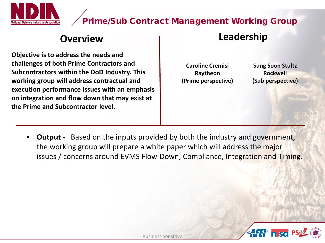

### Prime/Sub Contract Management Working Group

**Objective is to address the needs and challenges of both Prime Contractors and Subcontractors within the DoD Industry. This working group will address contractual and execution performance issues with an emphasis on integration and flow down that may exist at the Prime and Subcontractor level.** 

### **Overview Leadership**

**Caroline Cremisi Raytheon (Prime perspective)**

**Sung Soon Stultz Rockwell (Sub perspective)**

• **Output** - Based on the inputs provided by both the industry and government, the working group will prepare a white paper which will address the major issues / concerns around EVMS Flow-Down, Compliance, Integration and Timing.

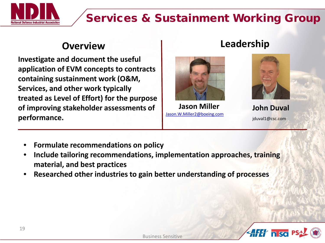

## Services & Sustainment Working Group

**Investigate and document the useful application of EVM concepts to contracts containing sustainment work (O&M, Services, and other work typically treated as Level of Effort) for the purpose of improving stakeholder assessments of performance.** 

## **Overview Leadership**



**Jason Miller** [Jason.W.Miller2@boeing.com](mailto:Jason.W.Miller2@boeing.com)



**John Duval** jduval1@csc.com

- **Formulate recommendations on policy**
- **Include tailoring recommendations, implementation approaches, training material, and best practices**
- **Researched other industries to gain better understanding of processes**